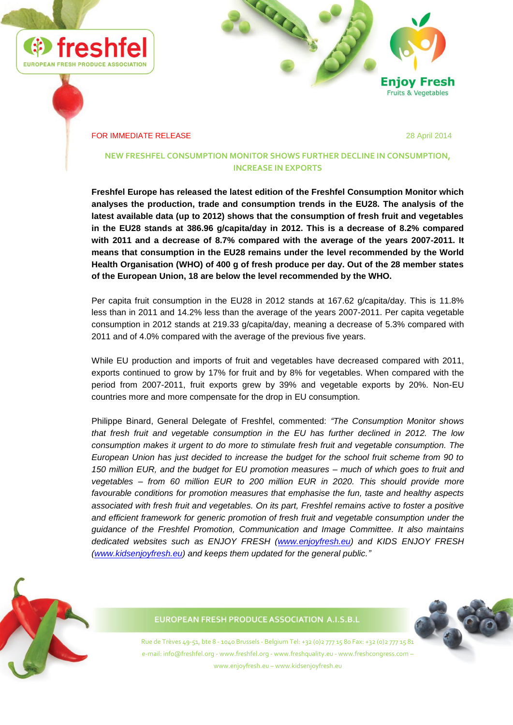



#### **FOR IMMEDIATE RELEASE** 28 April 2014

## **NEW FRESHFEL CONSUMPTION MONITOR SHOWS FURTHER DECLINE IN CONSUMPTION, INCREASE IN EXPORTS**

**Freshfel Europe has released the latest edition of the Freshfel Consumption Monitor which analyses the production, trade and consumption trends in the EU28. The analysis of the latest available data (up to 2012) shows that the consumption of fresh fruit and vegetables in the EU28 stands at 386.96 g/capita/day in 2012. This is a decrease of 8.2% compared with 2011 and a decrease of 8.7% compared with the average of the years 2007-2011. It means that consumption in the EU28 remains under the level recommended by the World Health Organisation (WHO) of 400 g of fresh produce per day. Out of the 28 member states of the European Union, 18 are below the level recommended by the WHO.** 

Per capita fruit consumption in the EU28 in 2012 stands at 167.62 g/capita/day. This is 11.8% less than in 2011 and 14.2% less than the average of the years 2007-2011. Per capita vegetable consumption in 2012 stands at 219.33 g/capita/day, meaning a decrease of 5.3% compared with 2011 and of 4.0% compared with the average of the previous five years.

While EU production and imports of fruit and vegetables have decreased compared with 2011, exports continued to grow by 17% for fruit and by 8% for vegetables. When compared with the period from 2007-2011, fruit exports grew by 39% and vegetable exports by 20%. Non-EU countries more and more compensate for the drop in EU consumption.

Philippe Binard, General Delegate of Freshfel, commented: *"The Consumption Monitor shows that fresh fruit and vegetable consumption in the EU has further declined in 2012. The low consumption makes it urgent to do more to stimulate fresh fruit and vegetable consumption. The European Union has just decided to increase the budget for the school fruit scheme from 90 to 150 million EUR, and the budget for EU promotion measures – much of which goes to fruit and vegetables – from 60 million EUR to 200 million EUR in 2020. This should provide more favourable conditions for promotion measures that emphasise the fun, taste and healthy aspects associated with fresh fruit and vegetables. On its part, Freshfel remains active to foster a positive and efficient framework for generic promotion of fresh fruit and vegetable consumption under the guidance of the Freshfel Promotion, Communication and Image Committee. It also maintains dedicated websites such as ENJOY FRESH [\(www.enjoyfresh.eu\)](http://www.enjoyfresh.eu/) and KIDS ENJOY FRESH [\(www.kidsenjoyfresh.eu\)](http://www.kidsenjoyfresh.eu/) and keeps them updated for the general public."*



# **EUROPEAN FRESH PRODUCE ASSOCIATION A.I.S.B.L**

Rue de Trèves 49-51, bte 8 - 1040 Brussels - Belgium Tel: +32 (0)2 777 15 80 Fax: +32 (0)2 777 15 81 e-mail: info@freshfel.org - www.freshfel.org - www.freshquality.eu - www.freshcongress.com – www.enjoyfresh.eu – www.kidsenjoyfresh.eu